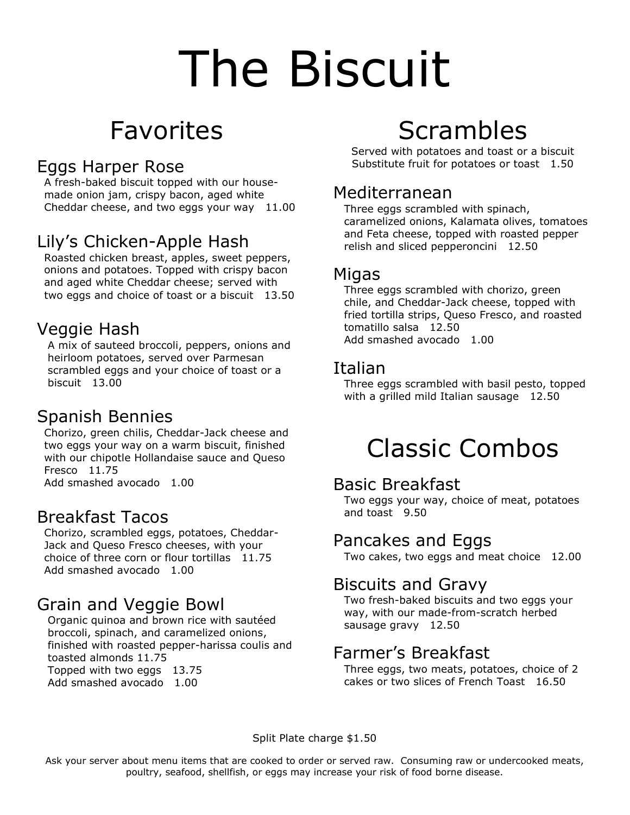# The Biscuit

# Favorites

## Eggs Harper Rose

 A fresh-baked biscuit topped with our house made onion jam, crispy bacon, aged white Cheddar cheese, and two eggs your way 11.00

## Lily's Chicken-Apple Hash

 Roasted chicken breast, apples, sweet peppers, onions and potatoes. Topped with crispy bacon and aged white Cheddar cheese; served with two eggs and choice of toast or a biscuit 13.50

### Veggie Hash

 A mix of sauteed broccoli, peppers, onions and heirloom potatoes, served over Parmesan scrambled eggs and your choice of toast or a biscuit 13.00

## Spanish Bennies

 Chorizo, green chilis, Cheddar-Jack cheese and two eggs your way on a warm biscuit, finished with our chipotle Hollandaise sauce and Queso Fresco 11.75 Add smashed avocado 1.00

#### Breakfast Tacos

 Chorizo, scrambled eggs, potatoes, Cheddar- Jack and Queso Fresco cheeses, with your choice of three corn or flour tortillas 11.75 Add smashed avocado 1.00

## Grain and Veggie Bowl

 Organic quinoa and brown rice with sautéed broccoli, spinach, and caramelized onions, finished with roasted pepper-harissa coulis and toasted almonds 11.75 Topped with two eggs 13.75 Add smashed avocado 1.00

# Scrambles

Served with potatoes and toast or a biscuit Substitute fruit for potatoes or toast 1.50

#### Mediterranean

 Three eggs scrambled with spinach, caramelized onions, Kalamata olives, tomatoes and Feta cheese, topped with roasted pepper relish and sliced pepperoncini 12.50

#### Migas

 Three eggs scrambled with chorizo, green chile, and Cheddar-Jack cheese, topped with fried tortilla strips, Queso Fresco, and roasted tomatillo salsa 12.50 Add smashed avocado 1.00

#### Italian

 Three eggs scrambled with basil pesto, topped with a grilled mild Italian sausage 12.50

# Classic Combos

#### Basic Breakfast

 Two eggs your way, choice of meat, potatoes and toast 9.50

#### Pancakes and Eggs

Two cakes, two eggs and meat choice 12.00

#### Biscuits and Gravy

 Two fresh-baked biscuits and two eggs your way, with our made-from-scratch herbed sausage gravy 12.50

#### Farmer's Breakfast

 Three eggs, two meats, potatoes, choice of 2 cakes or two slices of French Toast 16.50

Split Plate charge \$1.50

Ask your server about menu items that are cooked to order or served raw. Consuming raw or undercooked meats, poultry, seafood, shellfish, or eggs may increase your risk of food borne disease.